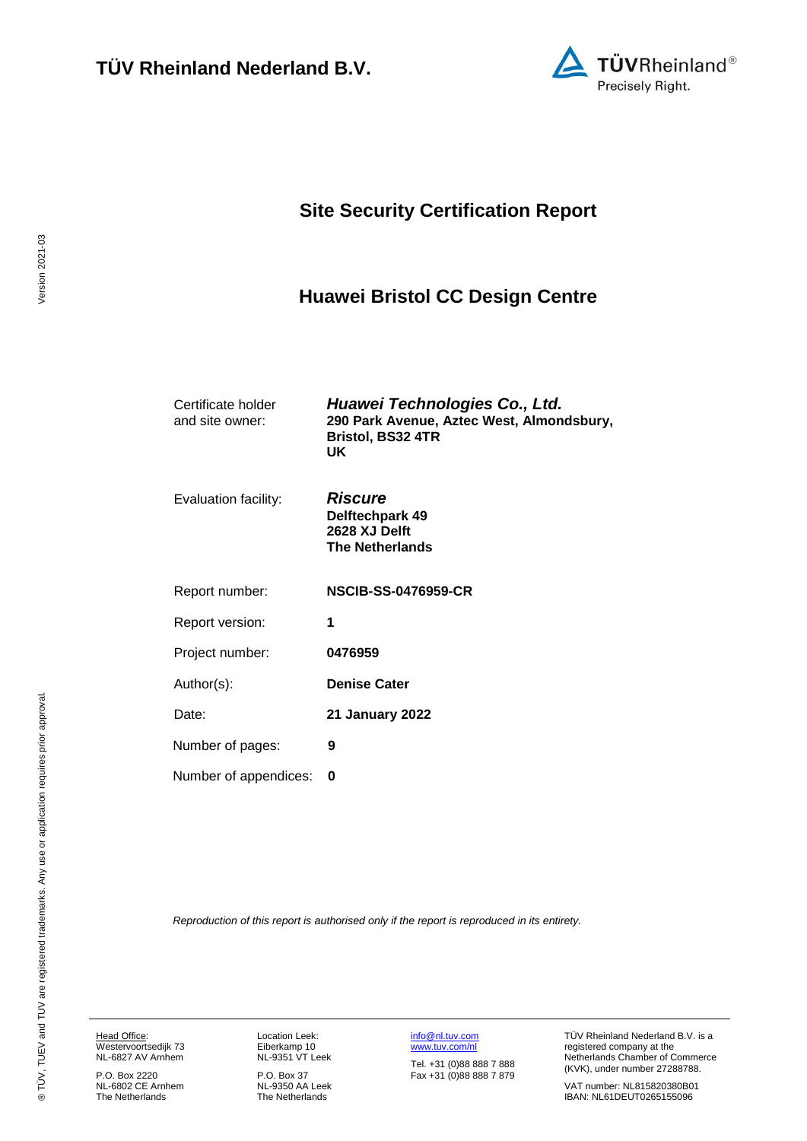

## **Site Security Certification Report**

### <span id="page-0-3"></span>**Huawei Bristol CC Design Centre**

<span id="page-0-2"></span><span id="page-0-0"></span>

| Certificate holder<br>and site owner: | Huawei Technologies Co., Ltd.<br>290 Park Avenue, Aztec West, Almondsbury,<br><b>Bristol, BS32 4TR</b><br>UK. |
|---------------------------------------|---------------------------------------------------------------------------------------------------------------|
| Evaluation facility:                  | <b>Riscure</b><br>Delftechpark 49<br>2628 XJ Delft<br><b>The Netherlands</b>                                  |
| Report number:                        | <b>NSCIB-SS-0476959-CR</b>                                                                                    |
| Report version:                       | 1                                                                                                             |
| Project number:                       | 0476959                                                                                                       |
| Author(s):                            | <b>Denise Cater</b>                                                                                           |
| Date:                                 | <b>21 January 2022</b>                                                                                        |
| Number of pages:                      | 9                                                                                                             |
| Number of appendices:                 | 0                                                                                                             |

<span id="page-0-1"></span>*Reproduction of this report is authorised only if the report is reproduced in its entirety.*

Head Office: Westervoortsedijk 73 NL-6827 AV Arnhem

P.O. Box 2220 NL-6802 CE Arnhem The Netherlands Location Leek: Eiberkamp 10 NL-9351 VT Leek

P.O. Box 37 NL-9350 AA Leek The Netherlands [info@nl.tuv.com](mailto:info@nl.tuv.com) [www.tuv.com/nl](http://www.tuv.com/nl)

Tel. +31 (0)88 888 7 888 Fax +31 (0)88 888 7 879 TÜV Rheinland Nederland B.V. is a registered company at the Netherlands Chamber of Commerce (KVK), under number 27288788.

VAT number: NL815820380B01 IBAN: NL61DEUT0265155096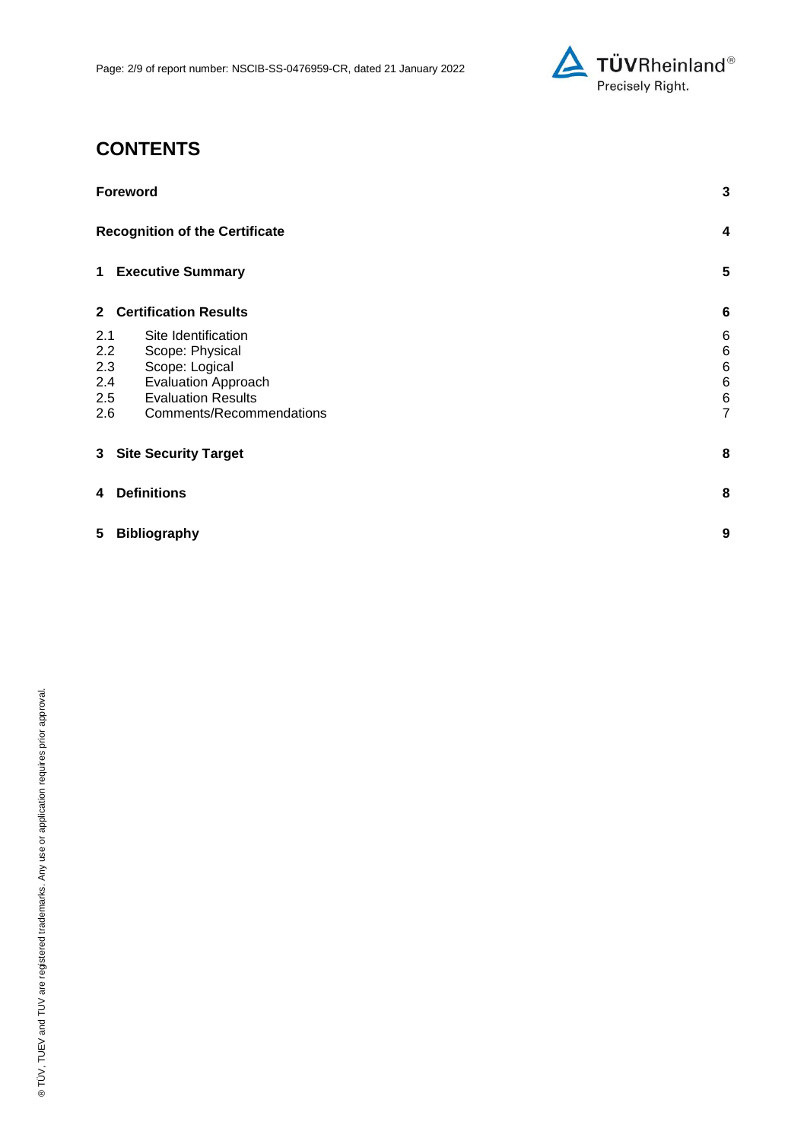

# **CONTENTS**

| <b>Foreword</b>                       |                |
|---------------------------------------|----------------|
| <b>Recognition of the Certificate</b> | 4              |
| 1 Executive Summary                   | 5              |
| 2 Certification Results               | 6              |
| 2.1<br>Site Identification            | 6              |
| 2.2<br>Scope: Physical                | $\,6$          |
| 2.3<br>Scope: Logical                 | 6              |
| <b>Evaluation Approach</b><br>2.4     | 6              |
| <b>Evaluation Results</b><br>2.5      | 6              |
| Comments/Recommendations<br>2.6       | $\overline{7}$ |
| 3 Site Security Target                | 8              |
| <b>Definitions</b><br>4               | 8              |
| <b>Bibliography</b><br>5              | 9              |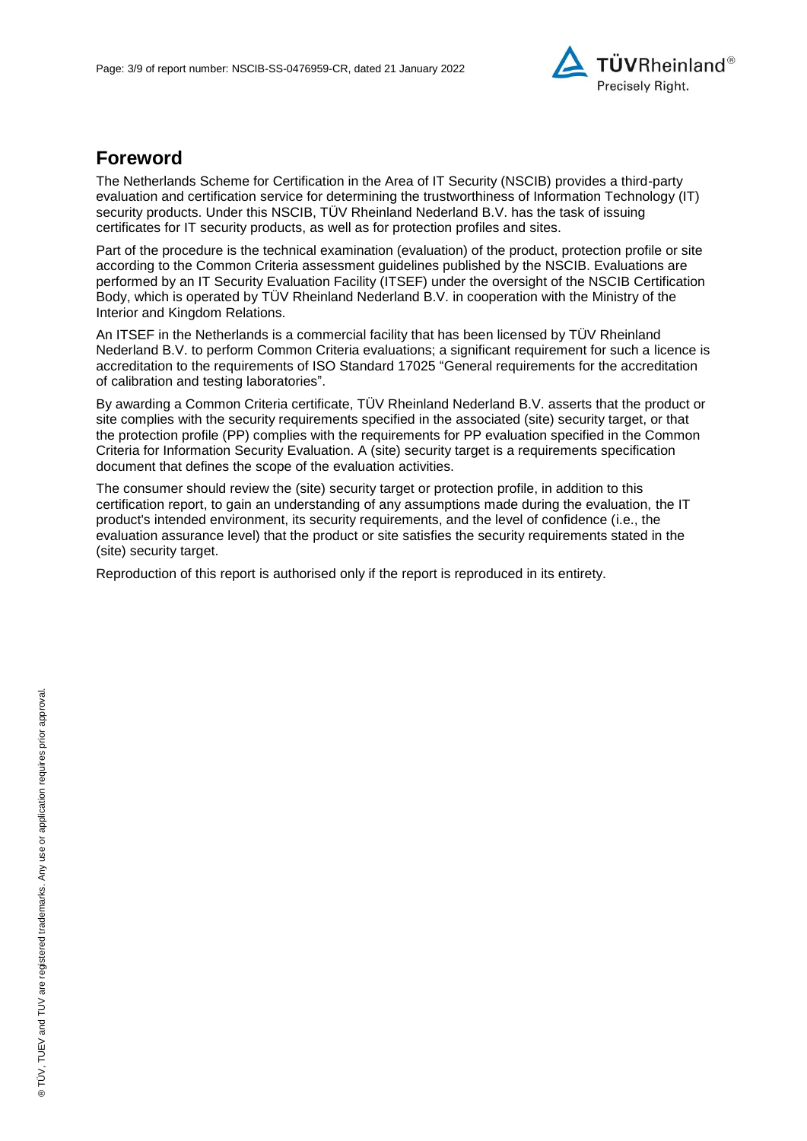

### **Foreword**

The Netherlands Scheme for Certification in the Area of IT Security (NSCIB) provides a third-party evaluation and certification service for determining the trustworthiness of Information Technology (IT) security products. Under this NSCIB, TÜV Rheinland Nederland B.V. has the task of issuing certificates for IT security products, as well as for protection profiles and sites.

Part of the procedure is the technical examination (evaluation) of the product, protection profile or site according to the Common Criteria assessment guidelines published by the NSCIB. Evaluations are performed by an IT Security Evaluation Facility (ITSEF) under the oversight of the NSCIB Certification Body, which is operated by TÜV Rheinland Nederland B.V. in cooperation with the Ministry of the Interior and Kingdom Relations.

An ITSEF in the Netherlands is a commercial facility that has been licensed by TÜV Rheinland Nederland B.V. to perform Common Criteria evaluations; a significant requirement for such a licence is accreditation to the requirements of ISO Standard 17025 "General requirements for the accreditation of calibration and testing laboratories".

By awarding a Common Criteria certificate, TÜV Rheinland Nederland B.V. asserts that the product or site complies with the security requirements specified in the associated (site) security target, or that the protection profile (PP) complies with the requirements for PP evaluation specified in the Common Criteria for Information Security Evaluation. A (site) security target is a requirements specification document that defines the scope of the evaluation activities.

The consumer should review the (site) security target or protection profile, in addition to this certification report, to gain an understanding of any assumptions made during the evaluation, the IT product's intended environment, its security requirements, and the level of confidence (i.e., the evaluation assurance level) that the product or site satisfies the security requirements stated in the (site) security target.

Reproduction of this report is authorised only if the report is reproduced in its entirety.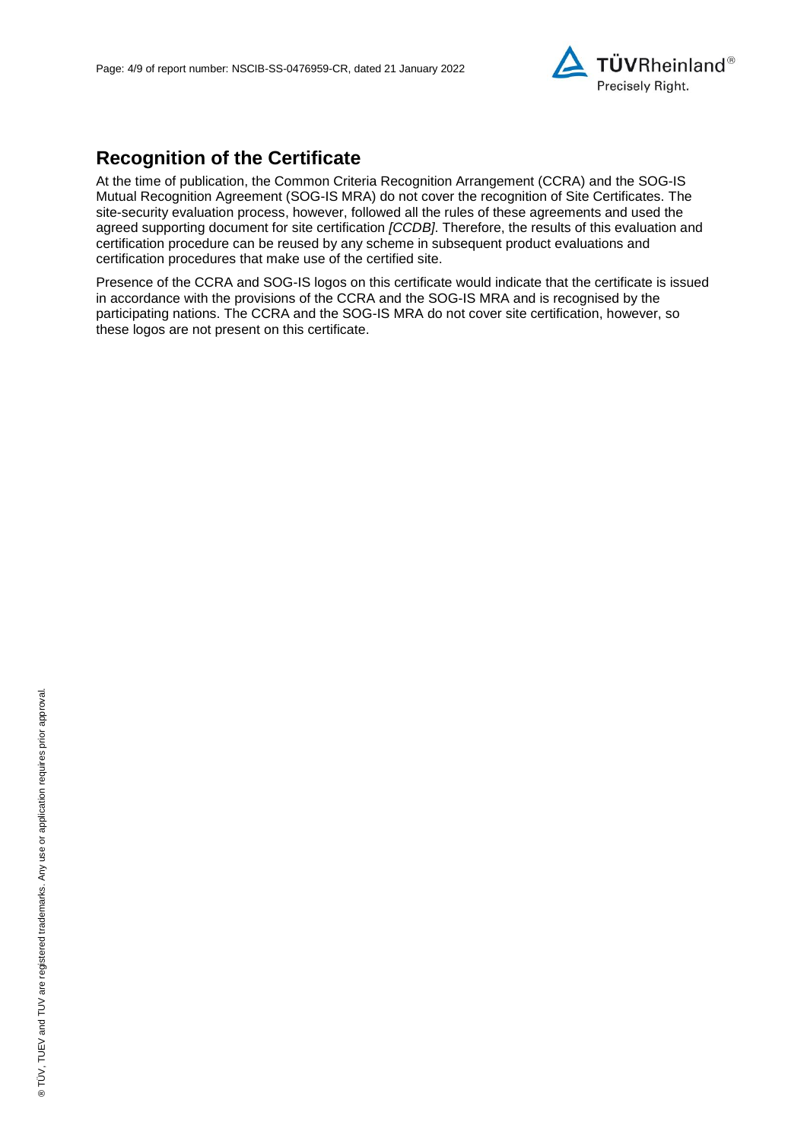

# **Recognition of the Certificate**

At the time of publication, the Common Criteria Recognition Arrangement (CCRA) and the SOG-IS Mutual Recognition Agreement (SOG-IS MRA) do not cover the recognition of Site Certificates. The site-security evaluation process, however, followed all the rules of these agreements and used the agreed supporting document for site certification *[CCDB]*. Therefore, the results of this evaluation and certification procedure can be reused by any scheme in subsequent product evaluations and certification procedures that make use of the certified site.

Presence of the CCRA and SOG-IS logos on this certificate would indicate that the certificate is issued in accordance with the provisions of the CCRA and the SOG-IS MRA and is recognised by the participating nations. The CCRA and the SOG-IS MRA do not cover site certification, however, so these logos are not present on this certificate.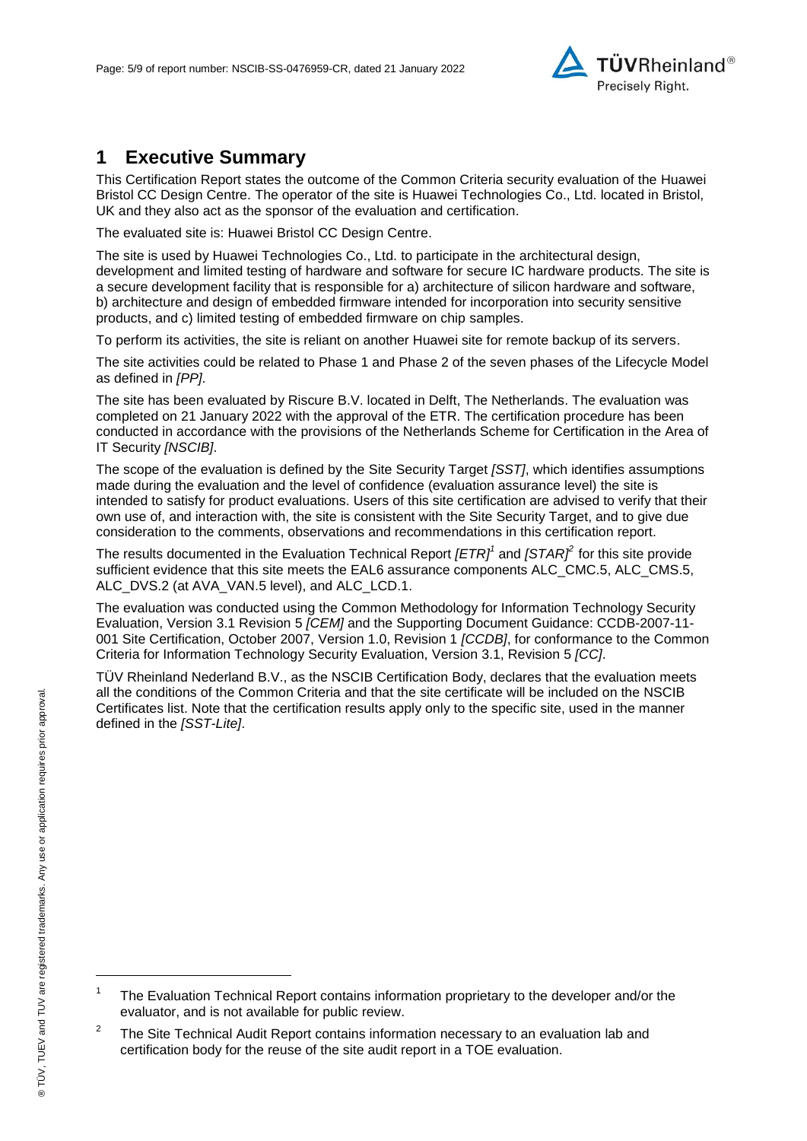

### **1 Executive Summary**

This Certification Report states the outcome of the Common Criteria security evaluation of the [Huawei](#page-0-2)  [Bristol CC Design Centre.](#page-0-2) The operator of the site is [Huawei Technologies Co., Ltd.](#page-0-3) located in Bristol, UK and they also act as the sponsor of the evaluation and certification.

The evaluated site is: [Huawei Bristol CC Design Centre.](#page-0-2)

The site is used by [Huawei Technologies Co., Ltd.](#page-0-3) to participate in the architectural design, development and limited testing of hardware and software for secure IC hardware products. The site is a secure development facility that is responsible for a) architecture of silicon hardware and software, b) architecture and design of embedded firmware intended for incorporation into security sensitive products, and c) limited testing of embedded firmware on chip samples.

To perform its activities, the site is reliant on another Huawei site for remote backup of its servers.

The site activities could be related to Phase 1 and Phase 2 of the seven phases of the Lifecycle Model as defined in *[PP]*.

The site has been evaluated by Riscure B.V. located in Delft, The Netherlands. The evaluation was completed on 21 January 2022 with the approval of the ETR. The certification procedure has been conducted in accordance with the provisions of the Netherlands Scheme for Certification in the Area of IT Security *[NSCIB]*.

The scope of the evaluation is defined by the Site Security Target *[SST]*, which identifies assumptions made during the evaluation and the level of confidence (evaluation assurance level) the site is intended to satisfy for product evaluations. Users of this site certification are advised to verify that their own use of, and interaction with, the site is consistent with the Site Security Target, and to give due consideration to the comments, observations and recommendations in this certification report.

The results documented in the Evaluation Technical Report *[ETR] 1* and *[STAR]<sup>2</sup>* for this site provide sufficient evidence that this site meets the EAL6 assurance components ALC\_CMC.5, ALC\_CMS.5, ALC DVS.2 (at AVA VAN.5 level), and ALC LCD.1.

<span id="page-4-0"></span>The evaluation was conducted using the Common Methodology for Information Technology Security Evaluation, Version 3.1 Revision 5 *[CEM]* and the Supporting Document Guidance: CCDB-2007-11- 001 Site Certification, October 2007, Version 1.0, Revision 1 *[CCDB]*, for conformance to the Common Criteria for Information Technology Security Evaluation, Version 3.1, Revision [5](#page-4-0) *[CC]*.

TÜV Rheinland Nederland B.V., as the NSCIB Certification Body, declares that the evaluation meets all the conditions of the Common Criteria and that the site certificate will be included on the NSCIB Certificates list. Note that the certification results apply only to the specific site, used in the manner defined in the *[SST-Lite]*.

l

<sup>1</sup> The Evaluation Technical Report contains information proprietary to the developer and/or the evaluator, and is not available for public review.

<sup>2</sup> The Site Technical Audit Report contains information necessary to an evaluation lab and certification body for the reuse of the site audit report in a TOE evaluation.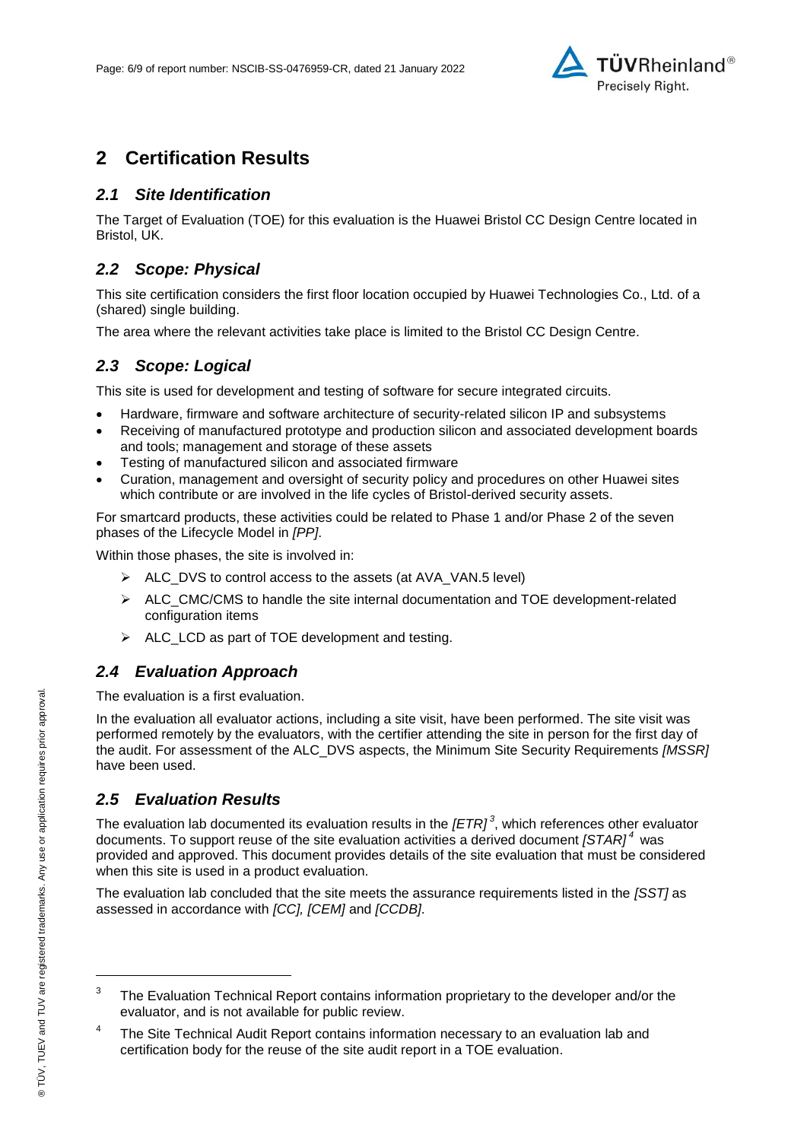

## **2 Certification Results**

#### *2.1 Site Identification*

The Target of Evaluation (TOE) for this evaluation is the [Huawei Bristol CC Design Centre](#page-0-2) located in Bristol, UK.

#### *2.2 Scope: Physical*

This site certification considers the first floor location occupied by [Huawei Technologies Co., Ltd.](#page-0-3) of a (shared) single building.

The area where the relevant activities take place is limited to the Bristol CC Design Centre.

#### *2.3 Scope: Logical*

This site is used for development and testing of software for secure integrated circuits.

- Hardware, firmware and software architecture of security-related silicon IP and subsystems
- Receiving of manufactured prototype and production silicon and associated development boards and tools; management and storage of these assets
- Testing of manufactured silicon and associated firmware
- Curation, management and oversight of security policy and procedures on other Huawei sites which contribute or are involved in the life cycles of Bristol-derived security assets.

For smartcard products, these activities could be related to Phase 1 and/or Phase 2 of the seven phases of the Lifecycle Model in *[PP]*.

Within those phases, the site is involved in:

- $\triangleright$  ALC DVS to control access to the assets (at AVA VAN.5 level)
- $\triangleright$  ALC\_CMC/CMS to handle the site internal documentation and TOE development-related configuration items
- $\triangleright$  ALC\_LCD as part of TOE development and testing.

#### *2.4 Evaluation Approach*

The evaluation is a first evaluation.

In the evaluation all evaluator actions, including a site visit, have been performed. The site visit was performed remotely by the evaluators, with the certifier attending the site in person for the first day of the audit. For assessment of the ALC\_DVS aspects, the Minimum Site Security Requirements *[MSSR]* have been used.

#### *2.5 Evaluation Results*

The evaluation lab documented its evaluation results in the *[ETR] 3* , which references other evaluator documents. To support reuse of the site evaluation activities a derived document *[STAR] <sup>4</sup>* was provided and approved. This document provides details of the site evaluation that must be considered when this site is used in a product evaluation.

The evaluation lab concluded that the site meets the assurance requirements listed in the *[SST]* as assessed in accordance with *[CC], [CEM]* and *[CCDB]*.

l

<sup>3</sup> The Evaluation Technical Report contains information proprietary to the developer and/or the evaluator, and is not available for public review.

<sup>4</sup> The Site Technical Audit Report contains information necessary to an evaluation lab and certification body for the reuse of the site audit report in a TOE evaluation.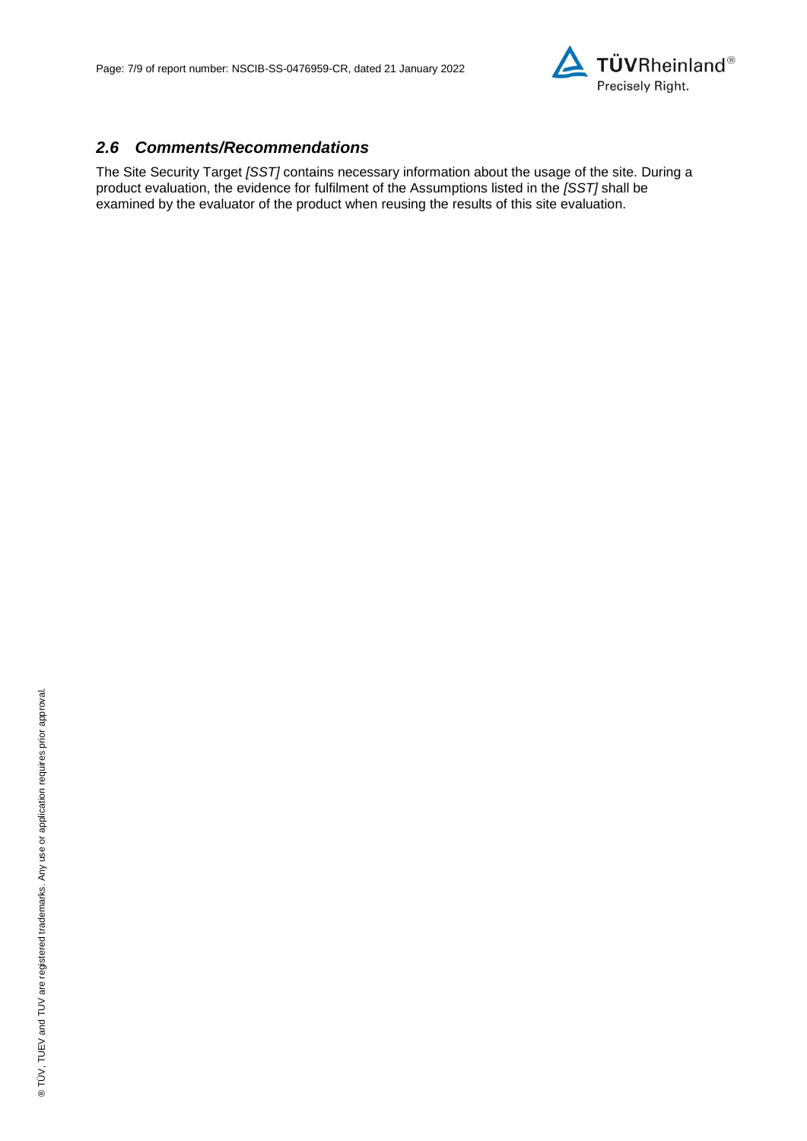

#### *2.6 Comments/Recommendations*

The Site Security Target *[SST]* contains necessary information about the usage of the site. During a product evaluation, the evidence for fulfilment of the Assumptions listed in the *[SST]* shall be examined by the evaluator of the product when reusing the results of this site evaluation.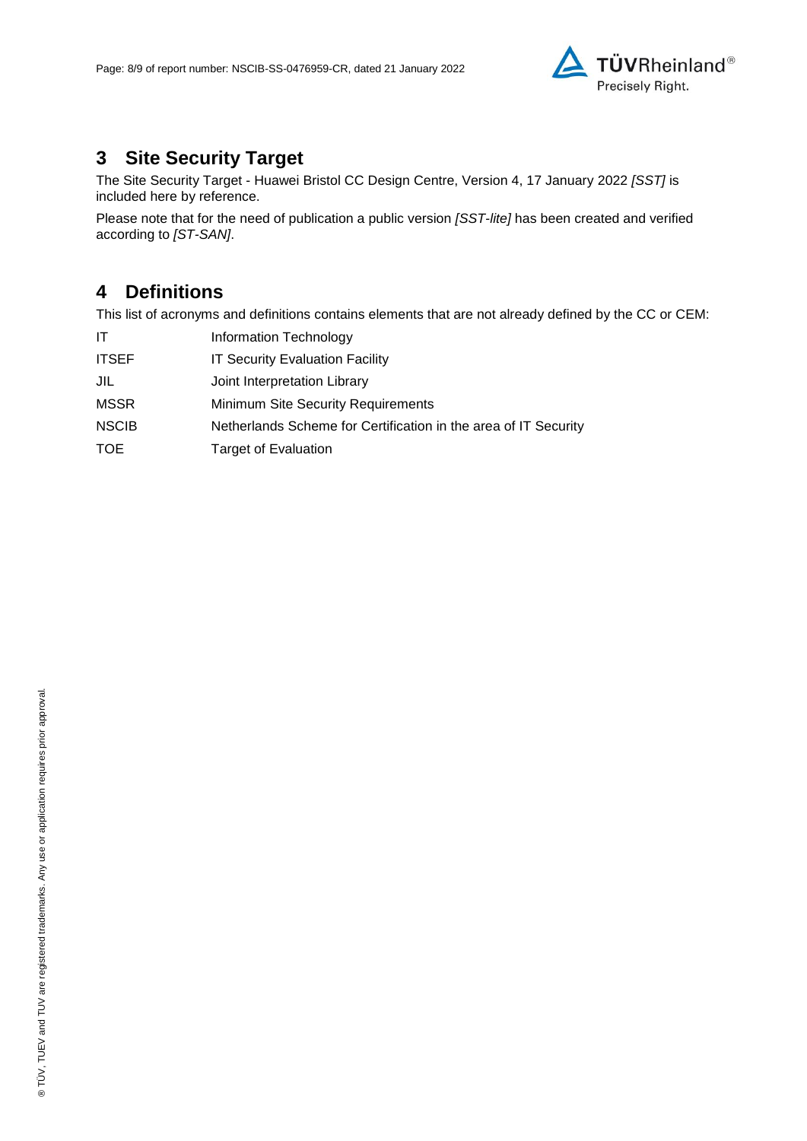

# **3 Site Security Target**

The Site Security Target - [Huawei Bristol CC Design Centre, Version 4, 17 January](#page-8-0) 2022 *[SST]* is included here by reference.

Please note that for the need of publication a public version *[SST-lite]* has been created and verified according to *[ST-SAN]*.

### **4 Definitions**

This list of acronyms and definitions contains elements that are not already defined by the CC or CEM:

| ΙT           | Information Technology                                          |
|--------------|-----------------------------------------------------------------|
| <b>ITSEF</b> | <b>IT Security Evaluation Facility</b>                          |
| JIL          | Joint Interpretation Library                                    |
| <b>MSSR</b>  | Minimum Site Security Requirements                              |
| <b>NSCIB</b> | Netherlands Scheme for Certification in the area of IT Security |
| <b>TOE</b>   | <b>Target of Evaluation</b>                                     |